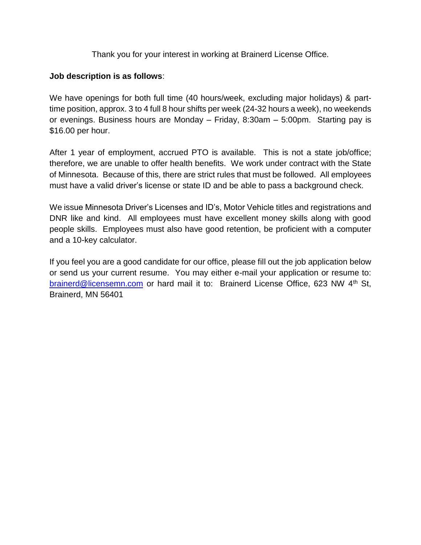Thank you for your interest in working at Brainerd License Office.

## **Job description is as follows**:

We have openings for both full time (40 hours/week, excluding major holidays) & parttime position, approx. 3 to 4 full 8 hour shifts per week (24-32 hours a week), no weekends or evenings. Business hours are Monday – Friday, 8:30am – 5:00pm. Starting pay is \$16.00 per hour.

After 1 year of employment, accrued PTO is available. This is not a state job/office; therefore, we are unable to offer health benefits. We work under contract with the State of Minnesota. Because of this, there are strict rules that must be followed. All employees must have a valid driver's license or state ID and be able to pass a background check.

We issue Minnesota Driver's Licenses and ID's, Motor Vehicle titles and registrations and DNR like and kind. All employees must have excellent money skills along with good people skills. Employees must also have good retention, be proficient with a computer and a 10-key calculator.

If you feel you are a good candidate for our office, please fill out the job application below or send us your current resume. You may either e-mail your application or resume to: [brainerd@licensemn.com](mailto:brainerd@licensemn.com) or hard mail it to: Brainerd License Office, 623 NW 4<sup>th</sup> St, Brainerd, MN 56401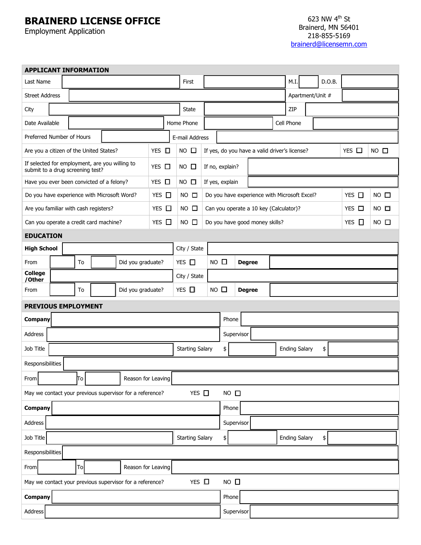## **BRAINERD LICENSE OFFICE**

Employment Application

| <b>APPLICANT INFORMATION</b>                                                                |  |                         |    |  |                                                          |             |                        |                        |                                                                 |                |               |  |                            |      |                  |        |  |  |
|---------------------------------------------------------------------------------------------|--|-------------------------|----|--|----------------------------------------------------------|-------------|------------------------|------------------------|-----------------------------------------------------------------|----------------|---------------|--|----------------------------|------|------------------|--------|--|--|
| Last Name                                                                                   |  |                         |    |  |                                                          |             |                        | First                  |                                                                 |                |               |  |                            | M.I. |                  | D.O.B. |  |  |
| <b>Street Address</b>                                                                       |  |                         |    |  |                                                          |             |                        |                        |                                                                 |                |               |  |                            |      | Apartment/Unit # |        |  |  |
| City                                                                                        |  |                         |    |  |                                                          |             |                        | State                  |                                                                 |                | ZIP           |  |                            |      |                  |        |  |  |
| Date Available                                                                              |  |                         |    |  |                                                          |             |                        | Home Phone             |                                                                 |                | Cell Phone    |  |                            |      |                  |        |  |  |
| Preferred Number of Hours                                                                   |  |                         |    |  |                                                          |             |                        | E-mail Address         |                                                                 |                |               |  |                            |      |                  |        |  |  |
| YES <b>D</b><br>Are you a citizen of the United States?                                     |  |                         |    |  |                                                          |             | $NO$ $\square$         |                        | YES $\Box$<br>If yes, do you have a valid driver's license?     |                |               |  |                            |      | $NO$ $\square$   |        |  |  |
| If selected for employment, are you willing to<br>YES □<br>submit to a drug screening test? |  |                         |    |  |                                                          | $NO$ $\Box$ |                        | If no, explain?        |                                                                 |                |               |  |                            |      |                  |        |  |  |
| Have you ever been convicted of a felony?                                                   |  |                         |    |  | $YES$ $\square$                                          |             | $NO$ $\square$         |                        | If yes, explain                                                 |                |               |  |                            |      |                  |        |  |  |
| Do you have experience with Microsoft Word?                                                 |  |                         |    |  | YES $\Box$                                               |             | $NO$ $\square$         |                        | $YES$ $\square$<br>Do you have experience with Microsoft Excel? |                |               |  |                            |      | $NO$ $\square$   |        |  |  |
| Are you familiar with cash registers?                                                       |  |                         |    |  | YES □                                                    |             | $NO$ $\square$         |                        | Can you operate a 10 key (Calculator)?<br>$YES$ $\square$       |                |               |  |                            |      | $NO$ $\square$   |        |  |  |
| Can you operate a credit card machine?                                                      |  |                         |    |  | YES □                                                    |             | $NO$ $\square$         |                        | YES $\Box$<br>Do you have good money skills?                    |                |               |  |                            |      | $NO$ $\square$   |        |  |  |
| <b>EDUCATION</b>                                                                            |  |                         |    |  |                                                          |             |                        |                        |                                                                 |                |               |  |                            |      |                  |        |  |  |
| <b>High School</b>                                                                          |  |                         |    |  |                                                          |             |                        | City / State           |                                                                 |                |               |  |                            |      |                  |        |  |  |
| From                                                                                        |  | To<br>Did you graduate? |    |  |                                                          |             |                        | YES $\Box$             |                                                                 | $NO$ $\square$ | <b>Degree</b> |  |                            |      |                  |        |  |  |
| <b>College</b><br>/Other                                                                    |  |                         |    |  |                                                          |             |                        | City / State           |                                                                 |                |               |  |                            |      |                  |        |  |  |
| From                                                                                        |  |                         | To |  | Did you graduate?                                        |             |                        | $YES$ $\Box$           |                                                                 | $NO$ $\Box$    | <b>Degree</b> |  |                            |      |                  |        |  |  |
| <b>PREVIOUS EMPLOYMENT</b>                                                                  |  |                         |    |  |                                                          |             |                        |                        |                                                                 |                |               |  |                            |      |                  |        |  |  |
| Company                                                                                     |  |                         |    |  |                                                          |             |                        | Phone                  |                                                                 |                |               |  |                            |      |                  |        |  |  |
| Address                                                                                     |  |                         |    |  |                                                          |             |                        |                        |                                                                 |                | Supervisor    |  |                            |      |                  |        |  |  |
| Job Title                                                                                   |  |                         |    |  |                                                          |             |                        | <b>Starting Salary</b> |                                                                 |                |               |  | <b>Ending Salary</b><br>\$ |      |                  |        |  |  |
| Responsibilities                                                                            |  |                         |    |  |                                                          |             |                        |                        |                                                                 |                |               |  |                            |      |                  |        |  |  |
| From                                                                                        |  |                         | Tо |  | Reason for Leaving                                       |             |                        |                        |                                                                 |                |               |  |                            |      |                  |        |  |  |
|                                                                                             |  |                         |    |  | May we contact your previous supervisor for a reference? |             |                        | YES $\Box$             |                                                                 | $NO$ $\square$ |               |  |                            |      |                  |        |  |  |
| Company                                                                                     |  |                         |    |  |                                                          |             |                        |                        | Phone                                                           |                |               |  |                            |      |                  |        |  |  |
| Address                                                                                     |  |                         |    |  |                                                          |             |                        | Supervisor             |                                                                 |                |               |  |                            |      |                  |        |  |  |
| Job Title                                                                                   |  |                         |    |  |                                                          |             | <b>Starting Salary</b> |                        |                                                                 | \$             |               |  | <b>Ending Salary</b><br>\$ |      |                  |        |  |  |
| Responsibilities                                                                            |  |                         |    |  |                                                          |             |                        |                        |                                                                 |                |               |  |                            |      |                  |        |  |  |
| From                                                                                        |  |                         | To |  | Reason for Leaving                                       |             |                        |                        |                                                                 |                |               |  |                            |      |                  |        |  |  |
| YES $\square$<br>$NO$ $\square$<br>May we contact your previous supervisor for a reference? |  |                         |    |  |                                                          |             |                        |                        |                                                                 |                |               |  |                            |      |                  |        |  |  |
| Company                                                                                     |  |                         |    |  |                                                          |             |                        | Phone                  |                                                                 |                |               |  |                            |      |                  |        |  |  |
| Address                                                                                     |  |                         |    |  |                                                          |             |                        |                        |                                                                 |                | Supervisor    |  |                            |      |                  |        |  |  |